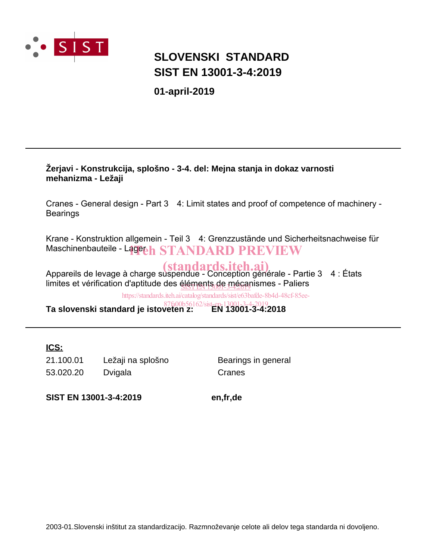

# **SIST EN 13001-3-4:2019 SLOVENSKI STANDARD**

**01-april-2019**

## **Žerjavi - Konstrukcija, splošno - 3-4. del: Mejna stanja in dokaz varnosti mehanizma - Ležaji**

Cranes - General design - Part 3 4: Limit states and proof of competence of machinery -Bearings

Krane - Konstruktion allgemein - Teil 3 4: Grenzzustände und Sicherheitsnachweise für Maschinenbauteile - Lagebh STANDARD PREVIEW

\$SSDUHLOVGHOHYDJHjFKDUJHVXVSHQGXH&RQFHSWLRQJpQpUDOH3DUWLH"eWDWV (standards.iteh.ai) limites et vérification d'aptitude des <u>éléments<sub>o</sub>de méca</u>nismes - Paliers

https://standards.iteh.ai/catalog/standards/sist/e63bafde-8b4d-48cf-85ee-

**Ta slovenski standard je istoveten z: EN 13001-3-4:2018** 87fa00b56162/sist-en-13001-3-4-2019

**ICS:**

53.020.20 Dvigala Cranes 21.100.01 Ležaji na splošno Bearings in general

**SIST EN 13001-3-4:2019 en,fr,de**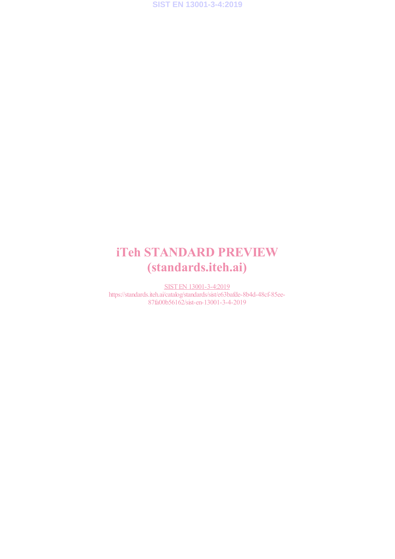# iTeh STANDARD PREVIEW (standards.iteh.ai)

SIST EN 13001-3-4:2019 https://standards.iteh.ai/catalog/standards/sist/e63bafde-8b4d-48cf-85ee-87fa00b56162/sist-en-13001-3-4-2019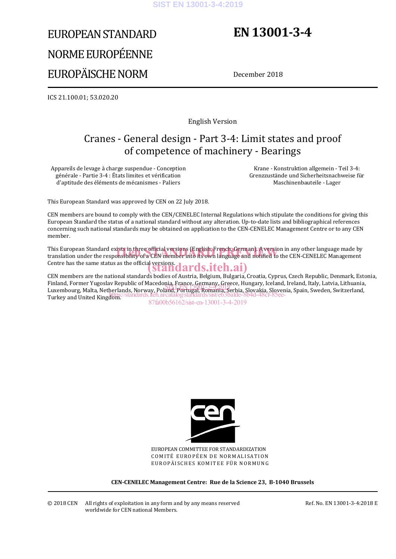# EUROPEAN STANDARD NORME EUROPÉENNE EUROPÄISCHE NORM

# **EN 13001-3-4**

December 2018

ICS 21.100.01; 53.020.20

English Version

# Cranes - General design - Part 3-4: Limit states and proof of competence of machinery - Bearings

Appareils de levage à charge suspendue - Conception générale - Partie 3-4 : États limites et vérification d'aptitude des éléments de mécanismes - Paliers

Krane - Konstruktion allgemein - Teil 3-4: Grenzzustände und Sicherheitsnachweise für Maschinenbauteile - Lager

This European Standard was approved by CEN on 22 July 2018.

CEN members are bound to comply with the CEN/CENELEC Internal Regulations which stipulate the conditions for giving this European Standard the status of a national standard without any alteration. Up-to-date lists and bibliographical references concerning such national standards may be obtained on application to the CEN-CENELEC Management Centre or to any CEN member.

This European Standard exists in three official versions (English, French, German). A version in any other language made by This European Standard exists in three official versions (English, French, German). A version in any other language made by<br>translation under the responsibility of a CEN member into its own language and notified to the CEN Centre has the same status as the official versions.<br>
Standards.iteh.ai)

CEN members are the national standards bodies of Austria, Belgium, Bulgaria, Croatia, Cyprus, Czech Republic, Denmark, Estonia, Finland, Former Yugoslav Republic of Macedonia, France, Germany, Greece, Hungary, Iceland, Ireland, Italy, Latvia, Lithuania, rinianu, roriner Tugosiav Republic of Maceuotia, France<sub>g</sub>ue Inglis, Nigece, Hungary, Icelanu, Irelanu, Italy, Latvia, Lithuania,<br>Luxembourg, Malta, Netherlands, Norway, Poland, Portugal, Romania, Serbia, Slovakia, Sloveni Turkey and United Kingdom. https://standards.iteh.ai/catalog/standards/sist/e63bafde-8b4d-48cf-85ee-

87fa00b56162/sist-en-13001-3-4-2019



EUROPEAN COMMITTEE FOR STANDARDIZATION COMITÉ EUROPÉEN DE NORMALISATION EUROPÄISCHES KOMITEE FÜR NORMUNG

**CEN-CENELEC Management Centre: Rue de la Science 23, B-1040 Brussels** 

Ref. No. EN 13001-3-4:2018 E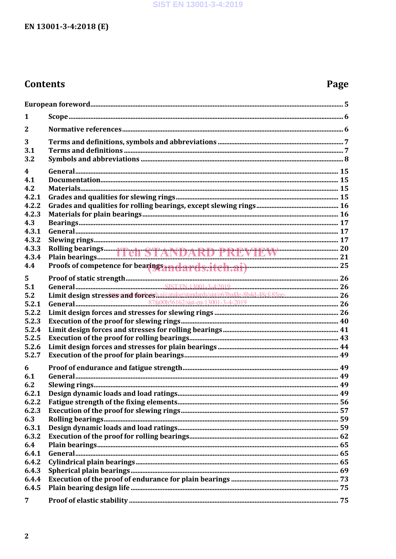## SIST EN 13001-3-4:2019

# EN 13001-3-4:2018 (E)

# **Contents**

# Page

| $\mathbf{1}$            |  |
|-------------------------|--|
| $\overline{2}$          |  |
| 3                       |  |
| 3.1                     |  |
| 3.2                     |  |
| $\overline{\mathbf{4}}$ |  |
| 4.1                     |  |
| 4.2                     |  |
| 4.2.1                   |  |
| 4.2.2                   |  |
| 4.2.3                   |  |
| 4.3                     |  |
| 4.3.1                   |  |
| 4.3.2                   |  |
| 4.3.3                   |  |
| 4.3.4                   |  |
| 4.4                     |  |
| 5                       |  |
| 5.1                     |  |
| 5.2                     |  |
| 5.2.1                   |  |
| 5.2.2                   |  |
| 5.2.3                   |  |
| 5.2.4                   |  |
| 5.2.5                   |  |
| 5.2.6                   |  |
| 5.2.7                   |  |
|                         |  |
| 6                       |  |
| 6.1                     |  |
| 6.2                     |  |
| 6.2.1                   |  |
| 6.2.2                   |  |
| 6.2.3                   |  |
| 6.3                     |  |
| 6.3.1                   |  |
| 6.3.2                   |  |
| 6.4                     |  |
| 6.4.1                   |  |
| 6.4.2                   |  |
| 6.4.3                   |  |
| 6.4.4                   |  |
| 6.4.5                   |  |
| 7                       |  |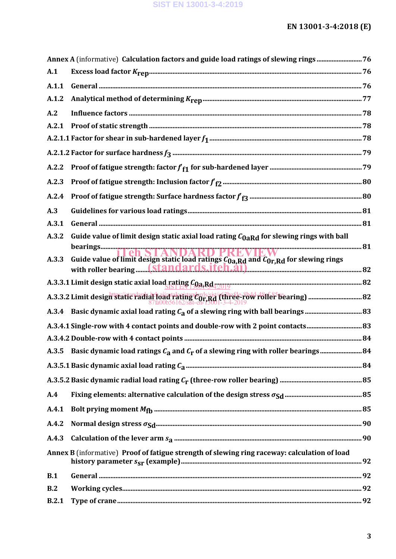|       | Annex A (informative) Calculation factors and guide load ratings of slewing rings  76              |  |
|-------|----------------------------------------------------------------------------------------------------|--|
| A.1   |                                                                                                    |  |
| A.1.1 |                                                                                                    |  |
| A.1.2 |                                                                                                    |  |
| A.2   |                                                                                                    |  |
| A.2.1 |                                                                                                    |  |
|       |                                                                                                    |  |
|       |                                                                                                    |  |
| A.2.2 |                                                                                                    |  |
| A.2.3 |                                                                                                    |  |
| A.2.4 |                                                                                                    |  |
| A.3   |                                                                                                    |  |
| A.3.1 |                                                                                                    |  |
| A.3.2 | Guide value of limit design static axial load rating $C_{0aRd}$ for slewing rings with ball        |  |
| A.3.3 |                                                                                                    |  |
|       | A.3.3.1 Limit design static axial load rating $C_{0a}$ , Rd rating manufacture and annumeration 82 |  |
|       |                                                                                                    |  |
|       |                                                                                                    |  |
|       | A.3.4.1 Single-row with 4 contact points and double-row with 2 point contacts 83                   |  |
|       |                                                                                                    |  |
|       |                                                                                                    |  |
|       |                                                                                                    |  |
|       |                                                                                                    |  |
| A.4   |                                                                                                    |  |
| A.4.1 |                                                                                                    |  |
| A.4.2 |                                                                                                    |  |
| A.4.3 |                                                                                                    |  |
|       | Annex B (informative) Proof of fatigue strength of slewing ring raceway: calculation of load       |  |
| B.1   |                                                                                                    |  |
| B.2   |                                                                                                    |  |
| B.2.1 |                                                                                                    |  |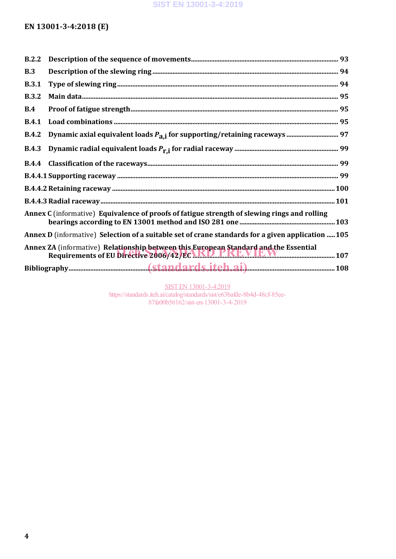#### **SIST EN 13001-3-4:2019**

## **EN 13001-3-4:2018 (E)**

| B.2.2                                                                                                                                                            |                                                                                                   |  |  |
|------------------------------------------------------------------------------------------------------------------------------------------------------------------|---------------------------------------------------------------------------------------------------|--|--|
| B.3                                                                                                                                                              |                                                                                                   |  |  |
| <b>B.3.1</b>                                                                                                                                                     |                                                                                                   |  |  |
| <b>B.3.2</b>                                                                                                                                                     |                                                                                                   |  |  |
| B.4                                                                                                                                                              |                                                                                                   |  |  |
| <b>B.4.1</b>                                                                                                                                                     |                                                                                                   |  |  |
| <b>B.4.2</b>                                                                                                                                                     |                                                                                                   |  |  |
| <b>B.4.3</b>                                                                                                                                                     |                                                                                                   |  |  |
| <b>B.4.4</b>                                                                                                                                                     |                                                                                                   |  |  |
|                                                                                                                                                                  |                                                                                                   |  |  |
|                                                                                                                                                                  |                                                                                                   |  |  |
|                                                                                                                                                                  |                                                                                                   |  |  |
| Annex C (informative) Equivalence of proofs of fatigue strength of slewing rings and rolling                                                                     |                                                                                                   |  |  |
|                                                                                                                                                                  | Annex D (informative) Selection of a suitable set of crane standards for a given application  105 |  |  |
| Annex ZA (informative) Relationship between this European Standard and the Essential<br>Requirements of EU Directive 2006/42/EC MALLARY MARKET MARKET MARKET 107 |                                                                                                   |  |  |
|                                                                                                                                                                  |                                                                                                   |  |  |

SIST EN 13001-3-4:2019 https://standards.iteh.ai/catalog/standards/sist/e63bafde-8b4d-48cf-85ee-87fa00b56162/sist-en-13001-3-4-2019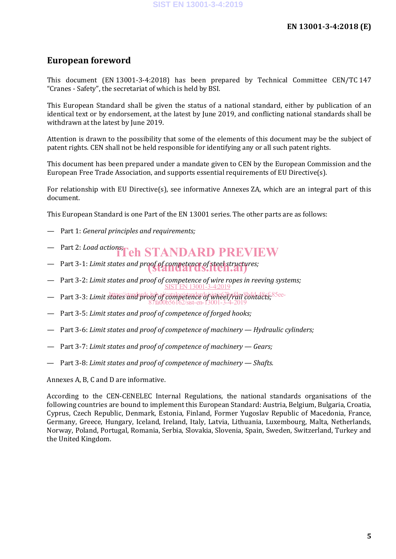# **European foreword**

This document (EN 13001-3-4:2018) has been prepared by Technical Committee CEN/TC 147 "Cranes - Safety", the secretariat of which is held by BSI.

This European Standard shall be given the status of a national standard, either by publication of an identical text or by endorsement, at the latest by June 2019, and conflicting national standards shall be withdrawn at the latest by June 2019.

Attention is drawn to the possibility that some of the elements of this document may be the subject of patent rights. CEN shall not be held responsible for identifying any or all such patent rights.

This document has been prepared under a mandate given to CEN by the European Commission and the European Free Trade Association, and supports essential requirements of EU Directive(s).

For relationship with EU Directive(s), see informative Annexes ZA, which are an integral part of this document.

This European Standard is one Part of the EN 13001 series. The other parts are as follows:

- Part 1: *General principles and requirements;*
- Part 2: *Load actions*; *Conductions Conductions Conductions Conductions Conductions Conductions Conductions Conductions Conductions Conductions Conductions Conductions Co*
- Part 3-1: *Limit states and proof of competence of steel structures;*
- Part 3-2: *Limit states and proof of competence of wire ropes in reeving systems;* SIST EN 13001-3-4:2019
- Part 3-3: *Limit states and proof of competence of wheelyrail contacts*; 85ee-
- Part 3-5: *Limit states and proof of competence of forged hooks;*
- Part 3-6: *Limit states and proof of competence of machinery — Hydraulic cylinders;*

2/sist-en-13001-<sup>3</sup>

- Part 3-7: *Limit states and proof of competence of machinery — Gears;*
- Part 3-8: *Limit states and proof of competence of machinery — Shafts.*

Annexes A, B, C and D are informative.

According to the CEN-CENELEC Internal Regulations, the national standards organisations of the following countries are bound to implement this European Standard: Austria, Belgium, Bulgaria, Croatia, Cyprus, Czech Republic, Denmark, Estonia, Finland, Former Yugoslav Republic of Macedonia, France, Germany, Greece, Hungary, Iceland, Ireland, Italy, Latvia, Lithuania, Luxembourg, Malta, Netherlands, Norway, Poland, Portugal, Romania, Serbia, Slovakia, Slovenia, Spain, Sweden, Switzerland, Turkey and the United Kingdom.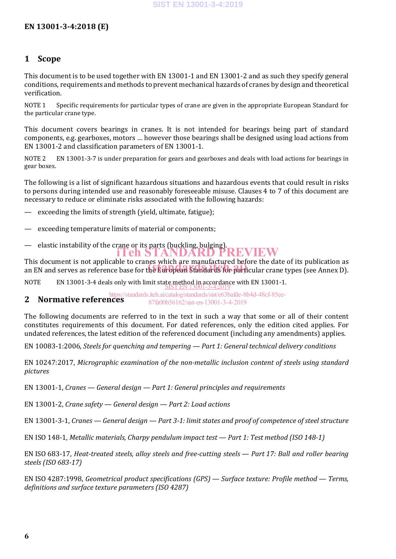### **1 Scope**

This document is to be used together with EN 13001-1 and EN 13001-2 and as such they specify general conditions, requirements and methods to prevent mechanical hazards of cranes by design and theoretical verification.

NOTE 1 Specific requirements for particular types of crane are given in the appropriate European Standard for the particular crane type.

This document covers bearings in cranes. It is not intended for bearings being part of standard components, e.g. gearboxes, motors … however those bearings shall be designed using load actions from EN 13001-2 and classification parameters of EN 13001-1.

NOTE 2 EN 13001-3-7 is under preparation for gears and gearboxes and deals with load actions for bearings in gear boxes.

The following is a list of significant hazardous situations and hazardous events that could result in risks to persons during intended use and reasonably foreseeable misuse. Clauses 4 to 7 of this document are necessary to reduce or eliminate risks associated with the following hazards:

- exceeding the limits of strength (yield, ultimate, fatigue);
- exceeding temperature limits of material or components;
- elastic instability of the crane or its parts (buckling, bulging).<br> **The LETANDARD PREVIEW** iTeh STANDARD

This document is not applicable to cranes which are manufactured before the date of its publication as This document is not applicable to cranes which are manufactured before the date of its publication as<br>an EN and serves as reference base for the European Standards for particular crane types (see Annex D).

NOTE EN 13001-3-4 deals only with limit state method in accordance with EN 13001-1. SIST EN 13001-3-4:2019

**2 Normative references** https://standards.iteh.ai/catalog/standards/sist/e63bafde-8b4d-48cf-85ee-87fa00b56162/sist-en-13001-3-4-2019

The following documents are referred to in the text in such a way that some or all of their content constitutes requirements of this document. For dated references, only the edition cited applies. For undated references, the latest edition of the referenced document (including any amendments) applies.

EN 10083-1:2006, *Steels for quenching and tempering — Part 1: General technical delivery conditions*

EN 10247:2017, *Micrographic examination of the non-metallic inclusion content of steels using standard pictures*

EN 13001-1, *Cranes — General design — Part 1: General principles and requirements*

EN 13001-2, *Crane safety — General design — Part 2: Load actions*

EN 13001-3-1, *Cranes — General design — Part 3-1: limit states and proof of competence of steel structure*

EN ISO 148-1, *Metallic materials, Charpy pendulum impact test — Part 1: Test method (ISO 148-1)*

EN ISO 683-17, *Heat-treated steels, alloy steels and free-cutting steels — Part 17: Ball and roller bearing steels (ISO 683-17)*

EN ISO 4287:1998, *Geometrical product specifications (GPS) — Surface texture: Profile method — Terms, definitions and surface texture parameters (ISO 4287)*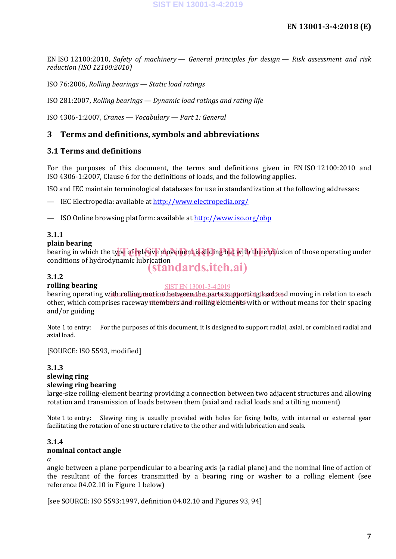EN ISO 12100:2010, *Safety of machinery — General principles for design — Risk assessment and risk reduction (ISO 12100:2010)*

ISO 76:2006, *Rolling bearings — Static load ratings*

ISO 281:2007, *Rolling bearings — Dynamic load ratings and rating life*

ISO 4306-1:2007, *Cranes — Vocabulary — Part 1: General*

## **3 Terms and definitions, symbols and abbreviations**

#### **3.1 Terms and definitions**

For the purposes of this document, the terms and definitions given in EN ISO 12100:2010 and ISO 4306-1:2007, Clause 6 for the definitions of loads, and the following applies.

ISO and IEC maintain terminological databases for use in standardization at the following addresses:

— IEC Electropedia: available at http://www.electropedia.org/

— ISO Online browsing platform: available at http://www.iso.org/obp

#### **3.1.1**

#### **plain bearing**

bearing in which the type of relative movement is sliding but with the exclusion of those operating under conditions of hydrodynamic lubrication

# (standards.iteh.ai)

#### **3.1.2**

#### **rolling bearing**

#### SIST EN 13001-3-4:2019

bearing operating with rolling motion between the parts supporting load and moving in relation to each other, which comprises raceway members and rolling elements with or without means for their spacing and/or guiding

Note 1 to entry: For the purposes of this document, it is designed to support radial, axial, or combined radial and axial load.

[SOURCE: ISO 5593, modified]

#### **3.1.3 slewing ring slewing ring bearing**

large-size rolling-element bearing providing a connection between two adjacent structures and allowing rotation and transmission of loads between them (axial and radial loads and a tilting moment)

Note 1 to entry: Slewing ring is usually provided with holes for fixing bolts, with internal or external gear facilitating the rotation of one structure relative to the other and with lubrication and seals.

#### **3.1.4 nominal contact angle**

#### *α*

angle between a plane perpendicular to a bearing axis (a radial plane) and the nominal line of action of the resultant of the forces transmitted by a bearing ring or washer to a rolling element (see reference 04.02.10 in Figure 1 below)

[see SOURCE: ISO 5593:1997, definition 04.02.10 and Figures 93, 94]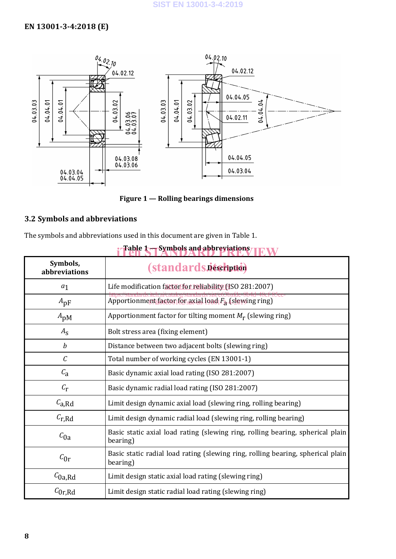

**Figure 1 — Rolling bearings dimensions**

## **3.2 Symbols and abbreviations**

The symbols and abbreviations used in this document are given in Table 1.

| Symbols,<br>abbreviations | <i><b>(standardspectively)</b></i>                                                          |  |  |
|---------------------------|---------------------------------------------------------------------------------------------|--|--|
| $a_1$                     | Life modification factor for reliability (ISO 281:2007)                                     |  |  |
| $A_{\rm pF}$              | Apportionment factor for axial load $F_a$ (slewing ring)                                    |  |  |
| $A_{\rm pM}$              | Apportionment factor for tilting moment $M_r$ (slewing ring)                                |  |  |
| $A_{\rm S}$               | Bolt stress area (fixing element)                                                           |  |  |
| b                         | Distance between two adjacent bolts (slewing ring)                                          |  |  |
| C                         | Total number of working cycles (EN 13001-1)                                                 |  |  |
| $c_{\rm a}$               | Basic dynamic axial load rating (ISO 281:2007)                                              |  |  |
| $C_{\rm r}$               | Basic dynamic radial load rating (ISO 281:2007)                                             |  |  |
| $c_{a, Rd}$               | Limit design dynamic axial load (slewing ring, rolling bearing)                             |  |  |
| $c_{r, Rd}$               | Limit design dynamic radial load (slewing ring, rolling bearing)                            |  |  |
| $c_{0a}$                  | Basic static axial load rating (slewing ring, rolling bearing, spherical plain<br>bearing)  |  |  |
| $c_{0r}$                  | Basic static radial load rating (slewing ring, rolling bearing, spherical plain<br>bearing) |  |  |
| $c_{0a, Rd}$              | Limit design static axial load rating (slewing ring)                                        |  |  |
| $c_{0r, Rd}$              | Limit design static radial load rating (slewing ring)                                       |  |  |

|  |  |  | Table 1-Symbols and abbreviations <b>IEW</b> |
|--|--|--|----------------------------------------------|
|  |  |  |                                              |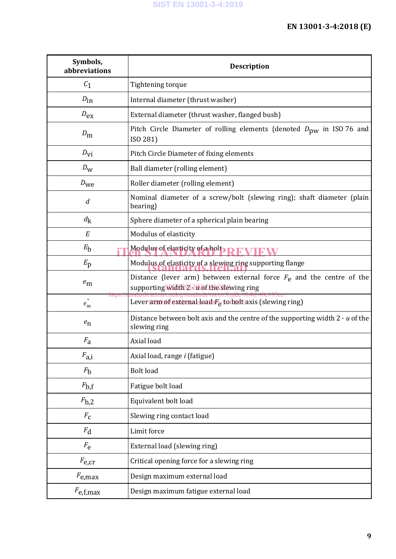| Symbols,<br>abbreviations | <b>Description</b>                                                                                                                                                                      |
|---------------------------|-----------------------------------------------------------------------------------------------------------------------------------------------------------------------------------------|
| c <sub>1</sub>            | Tightening torque                                                                                                                                                                       |
| $D_{\rm in}$              | Internal diameter (thrust washer)                                                                                                                                                       |
| $D_{\rm ex}$              | External diameter (thrust washer, flanged bush)                                                                                                                                         |
| $D_{\rm m}$               | Pitch Circle Diameter of rolling elements (denoted $D_{\text{DW}}$ in ISO 76 and<br>ISO 281)                                                                                            |
| $D_{\rm VI}$              | Pitch Circle Diameter of fixing elements                                                                                                                                                |
| $D_{\mathbf{W}}$          | Ball diameter (rolling element)                                                                                                                                                         |
| $D_{\text{We}}$           | Roller diameter (rolling element)                                                                                                                                                       |
| $\boldsymbol{d}$          | Nominal diameter of a screw/bolt (slewing ring); shaft diameter (plain<br>bearing)                                                                                                      |
| $d_{\rm k}$               | Sphere diameter of a spherical plain bearing                                                                                                                                            |
| E                         | Modulus of elasticity                                                                                                                                                                   |
| $E_{\rm b}$               | Modulus of elasticity of a bolp D F VIF                                                                                                                                                 |
| $E_{\rm p}$               | Modulus of elasticity of a slewing ring supporting flange                                                                                                                               |
| $e_{\rm m}$               | Distance (lever arm) between external force $F_e$ and the centre of the<br>supporting Width 21300 of the Slewing ring<br>andards.iteh.ai/catalog/standards/sist/e63bafde-8b4d-48cf-85ee |
| fittps://s<br>$e_{\rm m}$ | Lever annofexternal load $F_e$ to boltaxis (slewing ring)                                                                                                                               |
| $e_{n}$                   | Distance between bolt axis and the centre of the supporting width $2 \cdot u$ of the<br>slewing ring                                                                                    |
| $F_{\rm a}$               | Axial load                                                                                                                                                                              |
| $F_{a,i}$                 | Axial load, range i (fatigue)                                                                                                                                                           |
| $F_{\rm b}$               | <b>Bolt load</b>                                                                                                                                                                        |
| $F_{\rm b,f}$             | Fatigue bolt load                                                                                                                                                                       |
| $F_{b,2}$                 | Equivalent bolt load                                                                                                                                                                    |
| $F_C$                     | Slewing ring contact load                                                                                                                                                               |
| $F_{\rm d}$               | Limit force                                                                                                                                                                             |
| $F_{\rm e}$               | External load (slewing ring)                                                                                                                                                            |
| $F_{\rm e,cr}$            | Critical opening force for a slewing ring                                                                                                                                               |
| $F_{e,\text{max}}$        | Design maximum external load                                                                                                                                                            |
| $F_{\text{e,f,max}}$      | Design maximum fatigue external load                                                                                                                                                    |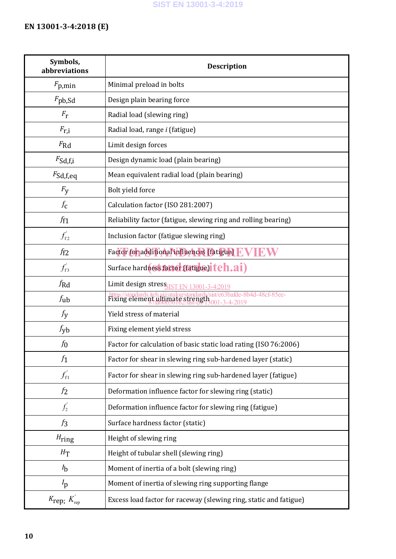| Symbols,<br>abbreviations           | <b>Description</b>                                                                                                                            |
|-------------------------------------|-----------------------------------------------------------------------------------------------------------------------------------------------|
| $F_{\rm p,min}$                     | Minimal preload in bolts                                                                                                                      |
| F <sub>pb</sub> , Sd                | Design plain bearing force                                                                                                                    |
| $F_{\Gamma}$                        | Radial load (slewing ring)                                                                                                                    |
| $F_{r,i}$                           | Radial load, range i (fatigue)                                                                                                                |
| $F_{\rm Rd}$                        | Limit design forces                                                                                                                           |
| $F_{\text{Sd},f,i}$                 | Design dynamic load (plain bearing)                                                                                                           |
| $F_{Sd,f,eq}$                       | Mean equivalent radial load (plain bearing)                                                                                                   |
| $F_{\rm y}$                         | Bolt yield force                                                                                                                              |
| $f_{\rm C}$                         | Calculation factor (ISO 281:2007)                                                                                                             |
| $f_{f1}$                            | Reliability factor (fatigue, slewing ring and rolling bearing)                                                                                |
| $f_{\rm f2}$                        | Inclusion factor (fatigue slewing ring)                                                                                                       |
| $f_{f2}$                            | Factor for additional influences (fatigue) EVIEW                                                                                              |
| $f_{\rm f3}$                        | Surface hardness factor {fatigue)iteh.ai)                                                                                                     |
| $f_{\rm Rd}$                        | Limit design stress <sub>SIST EN</sub> 13001-3-4:2019                                                                                         |
| $f_{\rm ub}$                        | https://standards.iteh.ai/catalog/standards/sist/e63bafde-8b4d-48cf-85ee-<br>Fixing element,ultimate strength.oo1 2 4 2010<br>$-3 - 4 - 2019$ |
| $f_{\rm y}$                         | Yield stress of material                                                                                                                      |
| $f_{\rm yb}$                        | Fixing element yield stress                                                                                                                   |
| $f_{0}$                             | Factor for calculation of basic static load rating (ISO 76:2006)                                                                              |
| $f_1$                               | Factor for shear in slewing ring sub-hardened layer (static)                                                                                  |
| $f_{\rm{f}1}^{'}$                   | Factor for shear in slewing ring sub-hardened layer (fatigue)                                                                                 |
| f <sub>2</sub>                      | Deformation influence factor for slewing ring (static)                                                                                        |
| $f_2$                               | Deformation influence factor for slewing ring (fatigue)                                                                                       |
| $f_3$                               | Surface hardness factor (static)                                                                                                              |
| $H_{\text{ring}}$                   | Height of slewing ring                                                                                                                        |
| $H_{\rm T}$                         | Height of tubular shell (slewing ring)                                                                                                        |
| $I_{\rm b}$                         | Moment of inertia of a bolt (slewing ring)                                                                                                    |
| $I_{\rm p}$                         | Moment of inertia of slewing ring supporting flange                                                                                           |
| $K_{\text{rep}}$ ; $K_{\text{rep}}$ | Excess load factor for raceway (slewing ring, static and fatigue)                                                                             |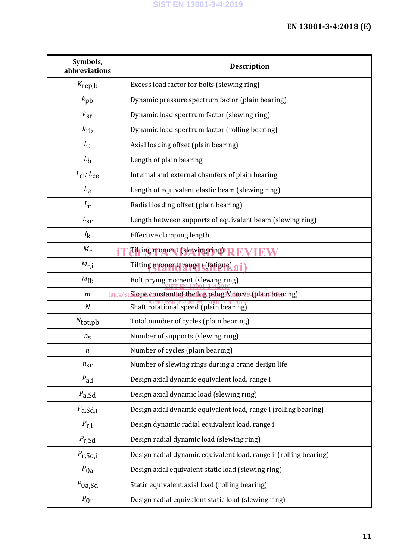| Symbols,<br>abbreviations         | <b>Description</b>                                               |
|-----------------------------------|------------------------------------------------------------------|
| $K_{\text{rep},\text{b}}$         | Excess load factor for bolts (slewing ring)                      |
| $k_{\rm pb}$                      | Dynamic pressure spectrum factor (plain bearing)                 |
| $k_{\rm ST}$                      | Dynamic load spectrum factor (slewing ring)                      |
| $k_{rb}$                          | Dynamic load spectrum factor (rolling bearing)                   |
| $L_{\rm a}$                       | Axial loading offset (plain bearing)                             |
| $L_{\rm b}$                       | Length of plain bearing                                          |
| $L_{\text{C}i}$ ; $L_{\text{C}e}$ | Internal and external chamfers of plain bearing                  |
| $L_{\rm e}$                       | Length of equivalent elastic beam (slewing ring)                 |
| $L_{\rm r}$                       | Radial loading offset (plain bearing)                            |
| $L_{\text{ST}}$                   | Length between supports of equivalent beam (slewing ring)        |
| $l_{\rm k}$                       | Effective clamping length                                        |
| $M_{r}$                           | Tilting moment (slewing ring)                                    |
| $M_{r,i}$                         | Tilting moment, range i (fatigue)                                |
| $M_{\text{fb}}$                   | Bolt prying moment (slewing ring)                                |
| https://<br>$\boldsymbol{m}$      | Slope constant of the log pslog Naturve (plain bearing)          |
| $\boldsymbol{N}$                  | Shaft rotational speed (plain bearing)                           |
| $N_{\text{tot},\text{pb}}$        | Total number of cycles (plain bearing)                           |
| $n_{\rm S}$                       | Number of supports (slewing ring)                                |
| n                                 | Number of cycles (plain bearing)                                 |
| $n_{\text{ST}}$                   | Number of slewing rings during a crane design life               |
| $P_{a,i}$                         | Design axial dynamic equivalent load, range i                    |
| $P_{a, Sd}$                       | Design axial dynamic load (slewing ring)                         |
| $P_{a, Sd, i}$                    | Design axial dynamic equivalent load, range i (rolling bearing)  |
| $P_{r,i}$                         | Design dynamic radial equivalent load, range i                   |
| $P_{r,Sd}$                        | Design radial dynamic load (slewing ring)                        |
| $P_{r,Sd,i}$                      | Design radial dynamic equivalent load, range i (rolling bearing) |
| $P_{0a}$                          | Design axial equivalent static load (slewing ring)               |
| $P_{0a, Sd}$                      | Static equivalent axial load (rolling bearing)                   |
| $P_{0r}$                          | Design radial equivalent static load (slewing ring)              |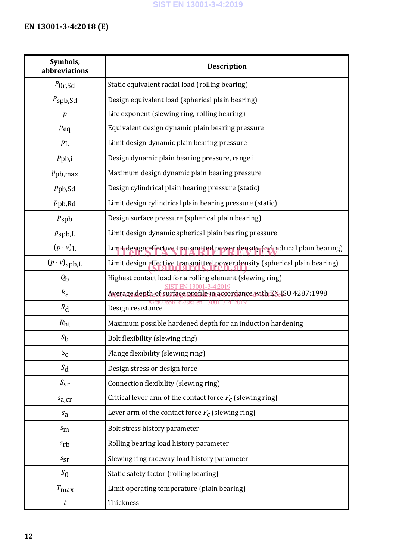| Symbols,<br>abbreviations   | <b>Description</b>                                                           |
|-----------------------------|------------------------------------------------------------------------------|
| $P_{0r,Sd}$                 | Static equivalent radial load (rolling bearing)                              |
| $P_{\rm Spb,Sd}$            | Design equivalent load (spherical plain bearing)                             |
| p                           | Life exponent (slewing ring, rolling bearing)                                |
| $p_{eq}$                    | Equivalent design dynamic plain bearing pressure                             |
| $p_{L}$                     | Limit design dynamic plain bearing pressure                                  |
| $p_{\rm pb,i}$              | Design dynamic plain bearing pressure, range i                               |
| $p_{\rm pb,max}$            | Maximum design dynamic plain bearing pressure                                |
| $p_{\rm pb, Sd}$            | Design cylindrical plain bearing pressure (static)                           |
| $p_{\rm pb, Rd}$            | Limit design cylindrical plain bearing pressure (static)                     |
| $p_{\rm Spb}$               | Design surface pressure (spherical plain bearing)                            |
| $p_{\rm Spb,L}$             | Limit design dynamic spherical plain bearing pressure                        |
| $(p \cdot v)$ <sub>L</sub>  | Limit design effective transmitted power density (cylindrical plain bearing) |
| $(p\cdot v)_\mathrm{spb,L}$ | Limit design effective transmitted power density (spherical plain bearing)   |
| $Q_{\bf b}$                 | Highest contact load for a rolling element (slewing ring)                    |
| $R_{a}$                     | Average depth of surface profile in accordance with EN ISO 4287:1998         |
| $R_{\rm d}$                 | 56162/sist-en-13001-3-4-2019<br>Design resistance                            |
| $R_{\rm ht}$                | Maximum possible hardened depth for an induction hardening                   |
| $S_{\rm b}$                 | Bolt flexibility (slewing ring)                                              |
| $S_{\rm C}$                 | Flange flexibility (slewing ring)                                            |
| $S_{\rm d}$                 | Design stress or design force                                                |
| $S_{\rm{ST}}$               | Connection flexibility (slewing ring)                                        |
| $s_{a,cr}$                  | Critical lever arm of the contact force $F_c$ (slewing ring)                 |
| $s_a$                       | Lever arm of the contact force $F_c$ (slewing ring)                          |
| $s_{\rm m}$                 | Bolt stress history parameter                                                |
| s <sub>rb</sub>             | Rolling bearing load history parameter                                       |
| $s_{\rm sr}$                | Slewing ring raceway load history parameter                                  |
| $S_{0}$                     | Static safety factor (rolling bearing)                                       |
| $T_{\rm max}$               | Limit operating temperature (plain bearing)                                  |
| $\boldsymbol{t}$            | Thickness                                                                    |